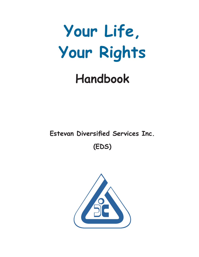

# **Handbook**

**Estevan Diversified Services Inc.**

**(EDS)**

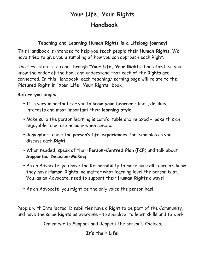## **Your Life, Your Rights Handbook**

#### **Teaching and Learning Human Rights is a Lifelong journey!**

This Handbook is intended to help you teach people their **Human Rights**. We have tried to give you a sampling of how you can approach each **Right**.

The first step is to read through "**Your Life, Your Rights"** book first, so you know the order of the book and understand that each of the **Rights** are connected. In this Handbook, each teaching/learning page will relate to the '**Pictured Right**' in "**Your Life, Your Rights"** book.

#### **Before you begin**:

- It is very important for you to **know your Learner** likes, dislikes, interests and most important their **learning style**!
- Make sure the person learning is comfortable and relaxed make this an enjoyable time; use humour when needed.
- Remember to use the **person's life experiences** for examples as you discuss each **Right**.
- When needed, speak of their **Person-Centred Plan** (**PCP**) and talk about **Supported Decision-Making.**
- As an Advocate, you have the Responsibility to make sure **all** Learners know they have **Human Rights**, no matter what learning level the person is at. You, as an Advocate, need to support their **Human Rights** always!
- As an Advocate, you might be the only voice the person has!

People with Intellectual Disabilities have a **Right** to be part of the Community, and have the same **Rights** as everyone - to socialize, to learn skills and to work.

Remember to Support and Respect the person's Choices.

#### **It's their Life!**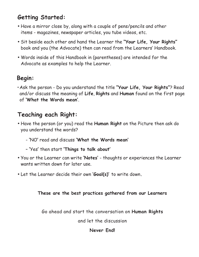## **Getting Started:**

- Have a mirror close by, along with a couple of pens/pencils and other items - magazines, newspaper articles, you tube videos, etc.
- Sit beside each other and hand the Learner the **"Your Life, Your Rights"** book and you (the Advocate) then can read from the Learners' Handbook.
- Words inside of this Handbook in (parentheses) are intended for the Advocate as examples to help the Learner.

## **Begin:**

**•**Ask the person - Do you understand the title **"Your Life, Your Rights"**? Read and/or discuss the meaning of **Life**, **Rights** and **Human** found on the first page of **'What the Words mean'**.

## **Teaching each Right:**

- Have the person (or you) read the **Human Right** on the Picture then ask do you understand the words?
	- **'**NO**'** read and discuss **'What the Words mean'**
	- **'**Yes**'** then start **'Things to talk about'**
- You or the Learner can write **'Notes'** thoughts or experiences the Learner wants written down for later use.
- Let the Learner decide their own **'Goal(s)'** to write down**.**

**These are the best practices gathered from our Learners**

Go ahead and start the conversation on **Human Rights**

and let the discussion

#### **Never End!**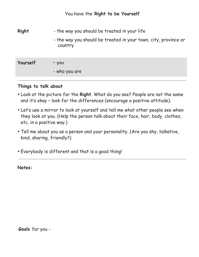| <b>Right</b> | - the way you should be treated in your life<br>- the way you should be treated in your town, city, province or<br>country |
|--------------|----------------------------------------------------------------------------------------------------------------------------|
| Yourself     | - you<br>- who you are                                                                                                     |

- Look at the picture for the **Right**. What do you see? People are not the same and it's okay – look for the differences (encourage a positive attitude).
- Let's use a mirror to look at yourself and tell me what other people see when they look at you. (Help the person talk about their face, hair, body, clothes, etc. in a positive way.)
- Tell me about you as a person and your personality. (Are you shy, talkative, kind, sharing, friendly?)
- Everybody is different and that is a good thing!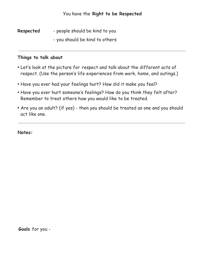**Respected** - people should be kind to you

- you should be kind to others

#### **Things to talk about**

- Let's look at the picture for respect and talk about the different acts of respect. (Use the person's life experiences from work, home, and outings.)
- Have you ever had your feelings hurt? How did it make you feel?
- Have you ever hurt someone's feelings? How do you think they felt after? Remember to treat others how you would like to be treated.
- Are you an adult? (if yes) then you should be treated as one and you should act like one.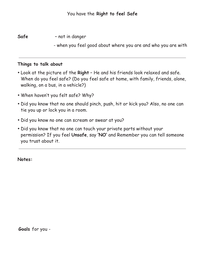**Safe** – not in danger

- when you feel good about where you are and who you are with

#### **Things to talk about**

- Look at the picture of the **Right** He and his friends look relaxed and safe. When do you feel safe? (Do you feel safe at home, with family, friends, alone, walking, on a bus, in a vehicle?)
- When haven't you felt safe? Why?
- Did you know that no one should pinch, push, hit or kick you? Also, no one can tie you up or lock you in a room.
- Did you know no one can scream or swear at you?
- Did you know that no one can touch your private parts without your permission? If you feel **Unsafe**, say **'NO'** and Remember you can tell someone you trust about it.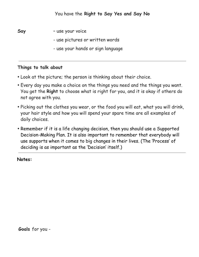

- use pictures or written words
- use your hands or sign language

- Look at the picture; the person is thinking about their choice.
- Every day you make a choice on the things you need and the things you want. You get the **Right** to choose what is right for you, and it is okay if others do not agree with you.
- Picking out the clothes you wear, or the food you will eat, what you will drink, your hair style and how you will spend your spare time are all examples of daily choices.
- Remember if it is a life changing decision, then you should use a Supported Decision-Making Plan. It is also important to remember that everybody will use supports when it comes to big changes in their lives. (The 'Process' of deciding is as important as the 'Decision' itself.)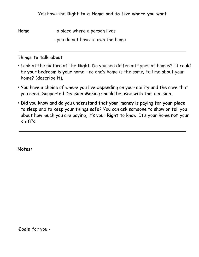**Home** - a place where a person lives

- you do not have to own the home

#### **Things to talk about**

- Look at the picture of the **Right**. Do you see different types of homes? It could be your bedroom is your home - no one's home is the same; tell me about your home? (describe it).
- You have a choice of where you live depending on your ability and the care that you need. Supported Decision-Making should be used with this decision.
- Did you know and do you understand that **your money** is paying for **your place** to sleep and to keep your things safe? You can ask someone to show or tell you about how much you are paying, it's your **Right** to know. It's your home **not** your staff's.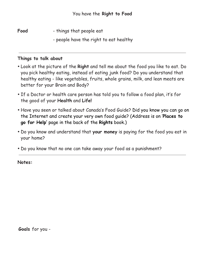Food - things that people eat

- people have the right to eat healthy

#### **Things to talk about**

- Look at the picture of the **Right** and tell me about the food you like to eat. Do you pick healthy eating, instead of eating junk food? Do you understand that healthy eating - like vegetables, fruits, whole grains, milk, and lean meats are better for your Brain and Body?
- If a Doctor or health care person has told you to follow a food plan, it's for the good of your **Health** and **Life!**
- Have you seen or talked about Canada's Food Guide? Did you know you can go on the Internet and create your very own food guide? (Address is on '**Places to go for Help'** page in the back of the **Rights** book.)
- Do you know and understand that **your money** is paying for the food you eat in your home?
- Do you know that no one can take away your food as a punishment?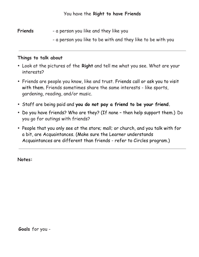**Friends** - a person you like and they like you

- a person you like to be with and they like to be with you

#### **Things to talk about**

- Look at the pictures of the **Right** and tell me what you see. What are your interests?
- Friends are people you know, like and trust. Friends call or ask you to visit with them. Friends sometimes share the same interests - like sports, gardening, reading, and/or music.
- Staff are being paid and **you do not pay a friend to be your friend.**
- Do you have friends? Who are they? (If none then help support them.) Do you go for outings with friends?
- People that you only see at the store; mall; or church, and you talk with for a bit, are Acquaintances. (Make sure the Learner understands Acquaintances are different than friends - refer to Circles program.)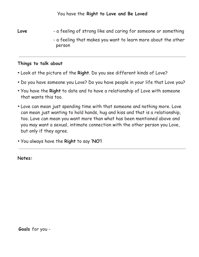Love **- a feeling of strong like and caring for someone or something** - a feeling that makes you want to learn more about the other person

#### **Things to talk about**

- Look at the picture of the **Right**. Do you see different kinds of Love?
- Do you have someone you Love? Do you have people in your life that Love you?
- You have the **Right** to date and to have a relationship of Love with someone that wants this too.
- Love can mean just spending time with that someone and nothing more. Love can mean just wanting to hold hands, hug and kiss and that is a relationship, too. Love can mean you want more than what has been mentioned above and you may want a sexual, intimate connection with the other person you Love, but only if they agree.
- You always have the **Right** to say **'NO'!**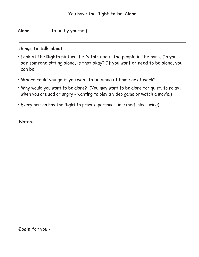**Alone** - to be by yourself

#### **Things to talk about**

- Look at the **Rights** picture. Let's talk about the people in the park. Do you see someone sitting alone, is that okay? If you want or need to be alone, you can be.
- Where could you go if you want to be alone at home or at work?
- Why would you want to be alone? (You may want to be alone for quiet, to relax, when you are sad or angry - wanting to play a video game or watch a movie.)
- Every person has the **Right** to private personal time (self-pleasuring).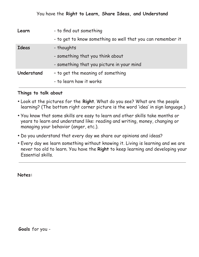| Learn      | - to find out something                                     |
|------------|-------------------------------------------------------------|
|            | - to get to know something so well that you can remember it |
| Ideas      | - thoughts                                                  |
|            | - something that you think about                            |
|            | - something that you picture in your mind                   |
| Understand | - to get the meaning of something                           |
|            | - to learn how it works                                     |

- Look at the pictures for the **Right**. What do you see? What are the people learning? (The bottom right corner picture is the word 'idea' in sign language.)
- You know that some skills are easy to learn and other skills take months or years to learn and understand like: reading and writing, money, changing or managing your behavior (anger, etc.).
- Do you understand that every day we share our opinions and ideas?
- Every day we learn something without knowing it. Living is learning and we are never too old to learn. You have the **Right** to keep learning and developing your Essential skills.

**Notes:**

**Goals** for you -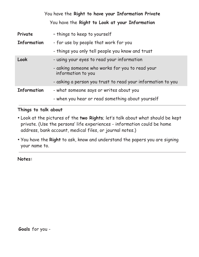You have the **Right to have your Information Private** You have the **Right to Look at your Information**

| Private            | - things to keep to yourself                                          |
|--------------------|-----------------------------------------------------------------------|
| <b>Information</b> | - for use by people that work for you                                 |
|                    | - things you only tell people you know and trust                      |
| Look               | - using your eyes to read your information                            |
|                    | - asking someone who works for you to read your<br>information to you |
|                    | - asking a person you trust to read your information to you           |
| <b>Information</b> | - what someone says or writes about you                               |
|                    | - when you hear or read something about yourself                      |

#### **Things to talk about**

- Look at the pictures of the **two Rights**; let's talk about what should be kept private. (Use the persons' life experiences - information could be home address, bank account, medical files, or journal notes.)
- You have the **Right** to ask, know and understand the papers you are signing your name to.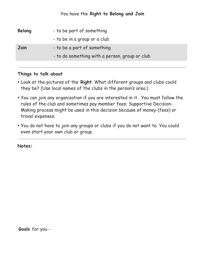#### You have the **Right to Belong and Join**

| <b>Belong</b> | - to be part of something                      |
|---------------|------------------------------------------------|
|               | - to be in a group or a club                   |
| Join          | - to be a part of something                    |
|               | - to do something with a person, group or club |

#### **Things to talk about**

- Look at the pictures of the **Right**. What different groups and clubs could they be? (Use local names of the clubs in the person's area.)
- You can join any organization if you are interested in it. You must follow the rules of the club and sometimes pay member fees; Supportive Decision-Making process might be used in this decision because of money (fees) or travel expenses.
- You do not have to join any groups or clubs if you do not want to. You could even start your own club or group.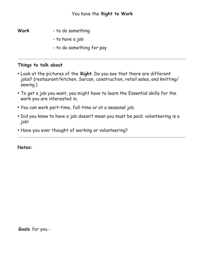- **Work** to do something
	- to have a job
	- to do something for pay

- Look at the pictures of the **Right**. Do you see that there are different jobs? (restaurant/kitchen, Sarcan, construction, retail sales, and knitting/ sewing.)
- To get a job you want, you might have to learn the Essential skills for the work you are interested in.
- You can work part–time, full-time or at a seasonal job.
- Did you know to have a job doesn't mean you must be paid; volunteering is a job!
- Have you ever thought of working or volunteering?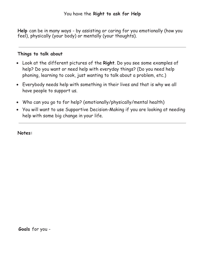**Help** can be in many ways - by assisting or caring for you emotionally (how you feel), physically (your body) or mentally (your thoughts).

#### **Things to talk about**

- Look at the different pictures of the **Right**. Do you see some examples of help? Do you want or need help with everyday things? (Do you need help phoning, learning to cook, just wanting to talk about a problem, etc.)
- Everybody needs help with something in their lives and that is why we all have people to support us.
- Who can you go to for help? (emotionally/physically/mental health)
- You will want to use Supportive Decision-Making if you are looking at needing help with some big change in your life.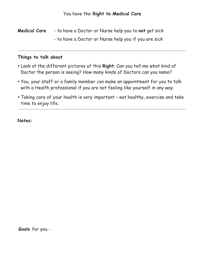**Medical Care** - to have a Doctor or Nurse help you to **not** get sick - to have a Doctor or Nurse help you if you are sick

#### **Things to talk about**

- Look at the different pictures of this **Right**; Can you tell me what kind of Doctor the person is seeing? How many kinds of Doctors can you name?
- You, your staff or a family member can make an appointment for you to talk with a Health professional if you are not feeling like yourself in any way.
- Taking care of your health is very important eat healthy, exercise and take time to enjoy life.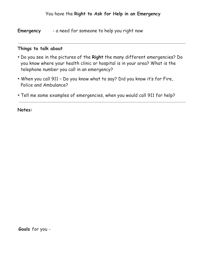**Emergency** - a need for someone to help you right now

#### **Things to talk about**

- Do you see in the pictures of the **Right** the many different emergencies? Do you know where your health clinic or hospital is in your area? What is the telephone number you call in an emergency?
- When you call 911 Do you know what to say? Did you know it's for Fire, Police and Ambulance?
- Tell me some examples of emergencies, when you would call 911 for help?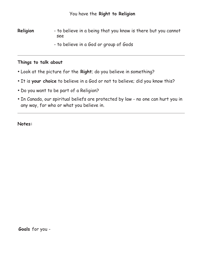**Religion** - to believe in a being that you know is there but you cannot see

- to believe in a God or group of Gods

#### **Things to talk about**

- Look at the picture for the **Right**; do you believe in something?
- It is **your choice** to believe in a God or not to believe; did you know this?
- Do you want to be part of a Religion?
- In Canada, our spiritual beliefs are protected by law no one can hurt you in any way, for who or what you believe in.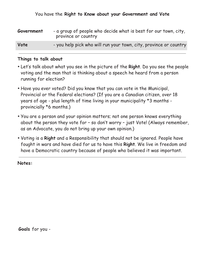| Government | - a group of people who decide what is best for our town, city,<br>province or country |
|------------|----------------------------------------------------------------------------------------|
| Vote       | - you help pick who will run your town, city, province or country                      |

- Let's talk about what you see in the picture of the **Right**. Do you see the people voting and the man that is thinking about a speech he heard from a person running for election?
- Have you ever voted? Did you know that you can vote in the Municipal, Provincial or the Federal elections? (If you are a Canadian citizen, over 18 years of age - plus length of time living in your municipality \*3 months provincially \*6 months.)
- You are a person and your opinion matters; not one person knows everything about the person they vote for – so don't worry – just Vote! (Always remember, as an Advocate, you do not bring up your own opinion.)
- Voting is a **Right** and a Responsibility that should not be ignored. People have fought in wars and have died for us to have this **Right**. We live in freedom and have a Democratic country because of people who believed it was important.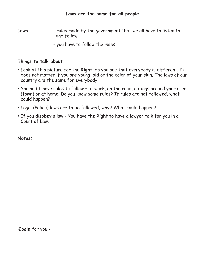**Laws** - rules made by the government that we all have to listen to and follow

- you have to follow the rules

#### **Things to talk about**

- Look at this picture for the **Right**, do you see that everybody is different. It does not matter if you are young, old or the color of your skin. The laws of our country are the same for everybody.
- You and I have rules to follow at work, on the road, outings around your area (town) or at home. Do you know some rules? If rules are not followed, what could happen?
- Legal (Police) laws are to be followed, why? What could happen?
- If you disobey a law You have the **Right** to have a lawyer talk for you in a Court of Law.